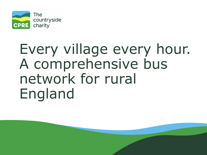

# Every village every hour. A comprehensive bus network for rural England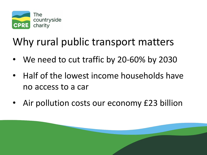

### Why rural public transport matters

- We need to cut traffic by 20-60% by 2030
- Half of the lowest income households have no access to a car
- Air pollution costs our economy £23 billion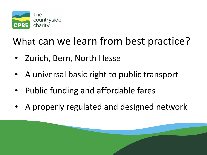

#### What can we learn from best practice?

- Zurich, Bern, North Hesse
- A universal basic right to public transport
- Public funding and affordable fares
- A properly regulated and designed network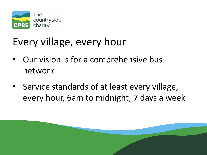

## Every village, every hour

- Our vision is for a comprehensive bus network
- Service standards of at least every village, every hour, 6am to midnight, 7 days a week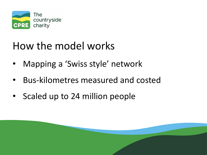

#### How the model works

- Mapping a 'Swiss style' network
- Bus-kilometres measured and costed
- Scaled up to 24 million people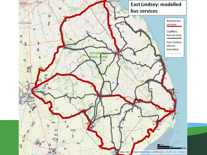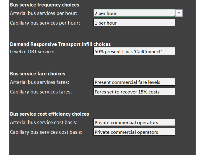**Bus service frequency choices** Arterial bus services per hour:

Capillary bus services per hour:



#### **Demand Responsive Transport infill choices**

Level of DRT service:

50% present Lincs 'CallConnect'

**Bus service fare choices** Arterial bus services fares: Capillary bus services fares:

Present commercial fare levels

Fares set to recover 15% costs

Bus service cost efficiency choices Arterial bus service cost basis: Capillary bus services cost basis:

Private commercial operators

Private commercial operators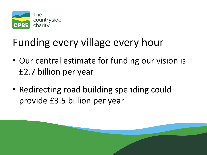

## Funding every village every hour

- Our central estimate for funding our vision is £2.7 billion per year
- Redirecting road building spending could provide £3.5 billion per year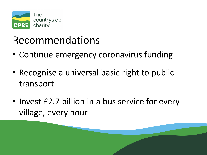

#### Recommendations

- Continue emergency coronavirus funding
- Recognise a universal basic right to public transport
- Invest £2.7 billion in a bus service for every village, every hour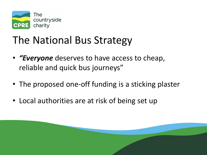

## The National Bus Strategy

- *"Everyone* deserves to have access to cheap, reliable and quick bus journeys"
- The proposed one-off funding is a sticking plaster
- Local authorities are at risk of being set up